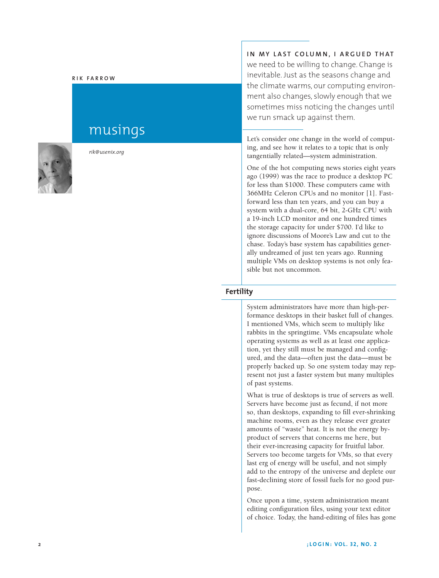#### **R I K F A R R O W**

# musings



*rik@usenix.org*

## **I N MY L A S T C O LU M N , I A R G U E D TH AT** we need to be willing to change. Change is inevitable. Just as the seasons change and the climate warms, our computing environment also changes, slowly enough that we sometimes miss noticing the changes until

Let's consider one change in the world of computing, and see how it relates to a topic that is only tangentially related—system administration.

we run smack up against them.

One of the hot computing news stories eight years ago (1999) was the race to produce a desktop PC for less than \$1000. These computers came with 366MHz Celeron CPUs and no monitor [1]. Fastforward less than ten years, and you can buy a system with a dual-core, 64 bit, 2-GHz CPU with a 19-inch LCD monitor and one hundred times the storage capacity for under \$700. I'd like to ignore discussions of Moore's Law and cut to the chase. Today's base system has capabilities generally undreamed of just ten years ago. Running multiple VMs on desktop systems is not only feasible but not uncommon.

#### **Fertility**

System administrators have more than high-performance desktops in their basket full of changes. I mentioned VMs, which seem to multiply like rabbits in the springtime. VMs encapsulate whole operating systems as well as at least one application, yet they still must be managed and configured, and the data—often just the data—must be properly backed up. So one system today may represent not just a faster system but many multiples of past systems.

What is true of desktops is true of servers as well. Servers have become just as fecund, if not more so, than desktops, expanding to fill ever-shrinking machine rooms, even as they release ever greater amounts of "waste" heat. It is not the energy byproduct of servers that concerns me here, but their ever-increasing capacity for fruitful labor. Servers too become targets for VMs, so that every last erg of energy will be useful, and not simply add to the entropy of the universe and deplete our fast-declining store of fossil fuels for no good purpose.

Once upon a time, system administration meant editing configuration files, using your text editor of choice. Today, the hand-editing of files has gone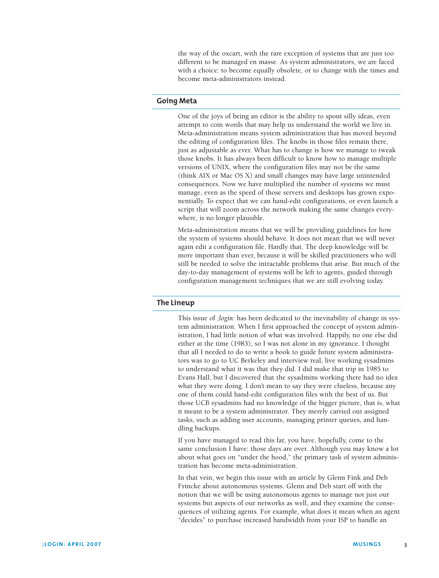the way of the oxcart, with the rare exception of systems that are just too different to be managed en masse. As system administrators, we are faced with a choice: to become equally obsolete, or to change with the times and become meta-administrators instead.

### **Going Meta**

One of the joys of being an editor is the ability to spout silly ideas, even attempt to coin words that may help us understand the world we live in. Meta-administration means system administration that has moved beyond the editing of configuration files. The knobs in those files remain there, just as adjustable as ever. What has to change is how we manage to tweak those knobs. It has always been difficult to know how to manage multiple versions of UNIX, where the configuration files may not be the same (think AIX or Mac OS X) and small changes may have large unintended consequences. Now we have multiplied the number of systems we must manage, even as the speed of those servers and desktops has grown exponentially. To expect that we can hand-edit configurations, or even launch a script that will zoom across the network making the same changes everywhere, is no longer plausible.

Meta-administration means that we will be providing guidelines for how the system of systems should behave. It does not mean that we will never again edit a configuration file. Hardly that. The deep knowledge will be more important than ever, because it will be skilled practitioners who will still be needed to solve the intractable problems that arise. But much of the day-to-day management of systems will be left to agents, guided through configuration management techniques that we are still evolving today.

#### **The Lineup**

This issue of *;login:* has been dedicated to the inevitability of change in system administration. When I first approached the concept of system administration, I had little notion of what was involved. Happily, no one else did either at the time (1983), so I was not alone in my ignorance. I thought that all I needed to do to write a book to guide future system administrators was to go to UC Berkeley and interview real, live working sysadmins to understand what it was that they did. I did make that trip in 1985 to Evans Hall, but I discovered that the sysadmins working there had no idea what they were doing. I don't mean to say they were clueless, because any one of them could hand-edit configuration files with the best of us. But those UCB sysadmins had no knowledge of the bigger picture, that is, what it meant to be a system administrator. They merely carried out assigned tasks, such as adding user accounts, managing printer queues, and handling backups.

If you have managed to read this far, you have, hopefully, come to the same conclusion I have: those days are over. Although you may know a lot about what goes on "under the hood," the primary task of system administration has become meta-administration.

In that vein, we begin this issue with an article by Glenn Fink and Deb Frincke about autonomous systems. Glenn and Deb start off with the notion that we will be using autonomous agents to manage not just our systems but aspects of our networks as well, and they examine the consequences of utilizing agents. For example, what does it mean when an agent "decides" to purchase increased bandwidth from your ISP to handle an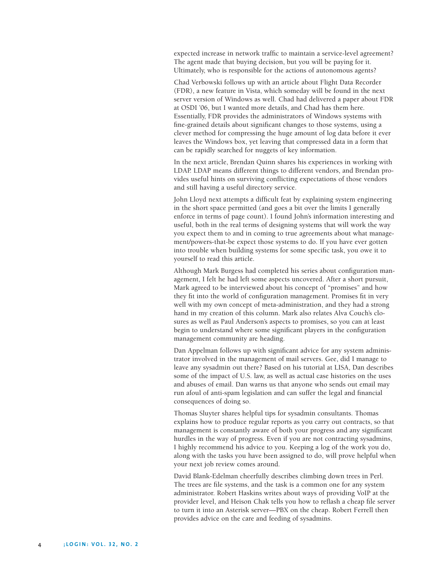expected increase in network traffic to maintain a service-level agreement? The agent made that buying decision, but you will be paying for it. Ultimately, who is responsible for the actions of autonomous agents?

Chad Verbowski follows up with an article about Flight Data Recorder (FDR), a new feature in Vista, which someday will be found in the next server version of Windows as well. Chad had delivered a paper about FDR at OSDI '06, but I wanted more details, and Chad has them here. Essentially, FDR provides the administrators of Windows systems with fine-grained details about significant changes to those systems, using a clever method for compressing the huge amount of log data before it ever leaves the Windows box, yet leaving that compressed data in a form that can be rapidly searched for nuggets of key information.

In the next article, Brendan Quinn shares his experiences in working with LDAP. LDAP means different things to different vendors, and Brendan provides useful hints on surviving conflicting expectations of those vendors and still having a useful directory service.

John Lloyd next attempts a difficult feat by explaining system engineering in the short space permitted (and goes a bit over the limits I generally enforce in terms of page count). I found John's information interesting and useful, both in the real terms of designing systems that will work the way you expect them to and in coming to true agreements about what management/powers-that-be expect those systems to do. If you have ever gotten into trouble when building systems for some specific task, you owe it to yourself to read this article.

Although Mark Burgess had completed his series about configuration management, I felt he had left some aspects uncovered. After a short pursuit, Mark agreed to be interviewed about his concept of "promises" and how they fit into the world of configuration management. Promises fit in very well with my own concept of meta-administration, and they had a strong hand in my creation of this column. Mark also relates Alva Couch's closures as well as Paul Anderson's aspects to promises, so you can at least begin to understand where some significant players in the configuration management community are heading.

Dan Appelman follows up with significant advice for any system administrator involved in the management of mail servers. Gee, did I manage to leave any sysadmin out there? Based on his tutorial at LISA, Dan describes some of the impact of U.S. law, as well as actual case histories on the uses and abuses of email. Dan warns us that anyone who sends out email may run afoul of anti-spam legislation and can suffer the legal and financial consequences of doing so.

Thomas Sluyter shares helpful tips for sysadmin consultants. Thomas explains how to produce regular reports as you carry out contracts, so that management is constantly aware of both your progress and any significant hurdles in the way of progress. Even if you are not contracting sysadmins, I highly recommend his advice to you. Keeping a log of the work you do, along with the tasks you have been assigned to do, will prove helpful when your next job review comes around.

David Blank-Edelman cheerfully describes climbing down trees in Perl. The trees are file systems, and the task is a common one for any system administrator. Robert Haskins writes about ways of providing VoIP at the provider level, and Heison Chak tells you how to reflash a cheap file server to turn it into an Asterisk server—PBX on the cheap. Robert Ferrell then provides advice on the care and feeding of sysadmins.